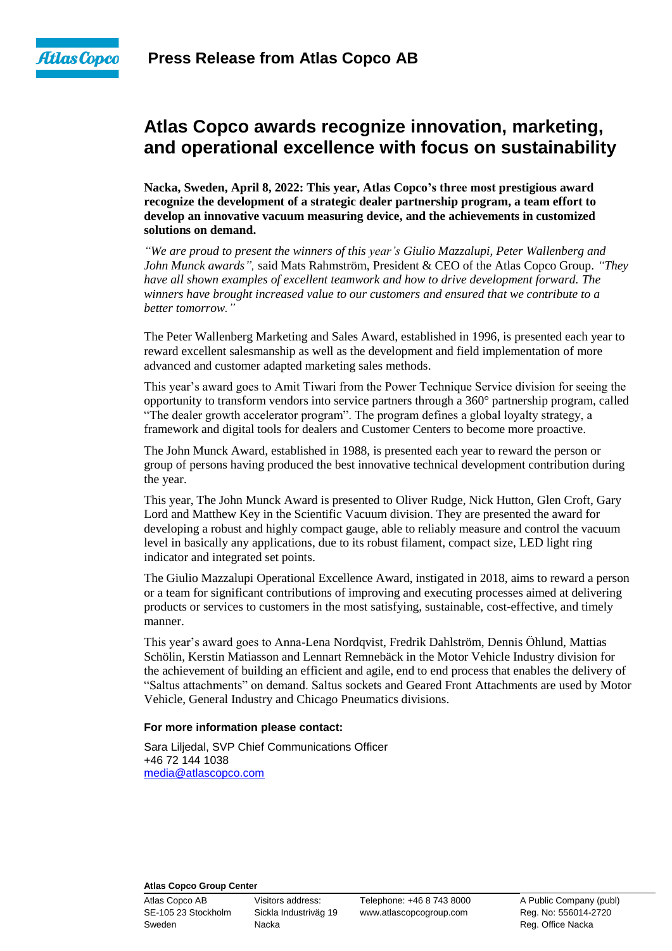

# **Atlas Copco awards recognize innovation, marketing, and operational excellence with focus on sustainability**

**Nacka, Sweden, April 8, 2022: This year, Atlas Copco's three most prestigious award recognize the development of a strategic dealer partnership program, a team effort to develop an innovative vacuum measuring device, and the achievements in customized solutions on demand.**

*"We are proud to present the winners of this year's Giulio Mazzalupi, Peter Wallenberg and John Munck awards",* said Mats Rahmström, President & CEO of the Atlas Copco Group. *"They have all shown examples of excellent teamwork and how to drive development forward. The winners have brought increased value to our customers and ensured that we contribute to a better tomorrow."*

The Peter Wallenberg Marketing and Sales Award, established in 1996, is presented each year to reward excellent salesmanship as well as the development and field implementation of more advanced and customer adapted marketing sales methods.

This year's award goes to Amit Tiwari from the Power Technique Service division for seeing the opportunity to transform vendors into service partners through a 360° partnership program, called "The dealer growth accelerator program". The program defines a global loyalty strategy, a framework and digital tools for dealers and Customer Centers to become more proactive.

The John Munck Award, established in 1988, is presented each year to reward the person or group of persons having produced the best innovative technical development contribution during the year.

This year, The John Munck Award is presented to Oliver Rudge, Nick Hutton, Glen Croft, Gary Lord and Matthew Key in the Scientific Vacuum division. They are presented the award for developing a robust and highly compact gauge, able to reliably measure and control the vacuum level in basically any applications, due to its robust filament, compact size, LED light ring indicator and integrated set points.

The Giulio Mazzalupi Operational Excellence Award, instigated in 2018, aims to reward a person or a team for significant contributions of improving and executing processes aimed at delivering products or services to customers in the most satisfying, sustainable, cost-effective, and timely manner.

This year's award goes to Anna-Lena Nordqvist, Fredrik Dahlström, Dennis Öhlund, Mattias Schölin, Kerstin Matiasson and Lennart Remnebäck in the Motor Vehicle Industry division for the achievement of building an efficient and agile, end to end process that enables the delivery of "Saltus attachments" on demand. Saltus sockets and Geared Front Attachments are used by Motor Vehicle, General Industry and Chicago Pneumatics divisions.

#### **For more information please contact:**

Sara Liljedal, SVP Chief Communications Officer +46 72 144 1038 [media@atlascopco.com](mailto:media@atlascopco.com)

### **Atlas Copco Group Center**

Sweden **Nacka** Nacka Reg. Office Nacka

Atlas Copco AB Visitors address: Telephone: +46 8 743 8000 A Public Company (publ) SE-105 23 Stockholm Sickla Industriväg 19 www.atlascopcogroup.com Reg. No: 556014-2720